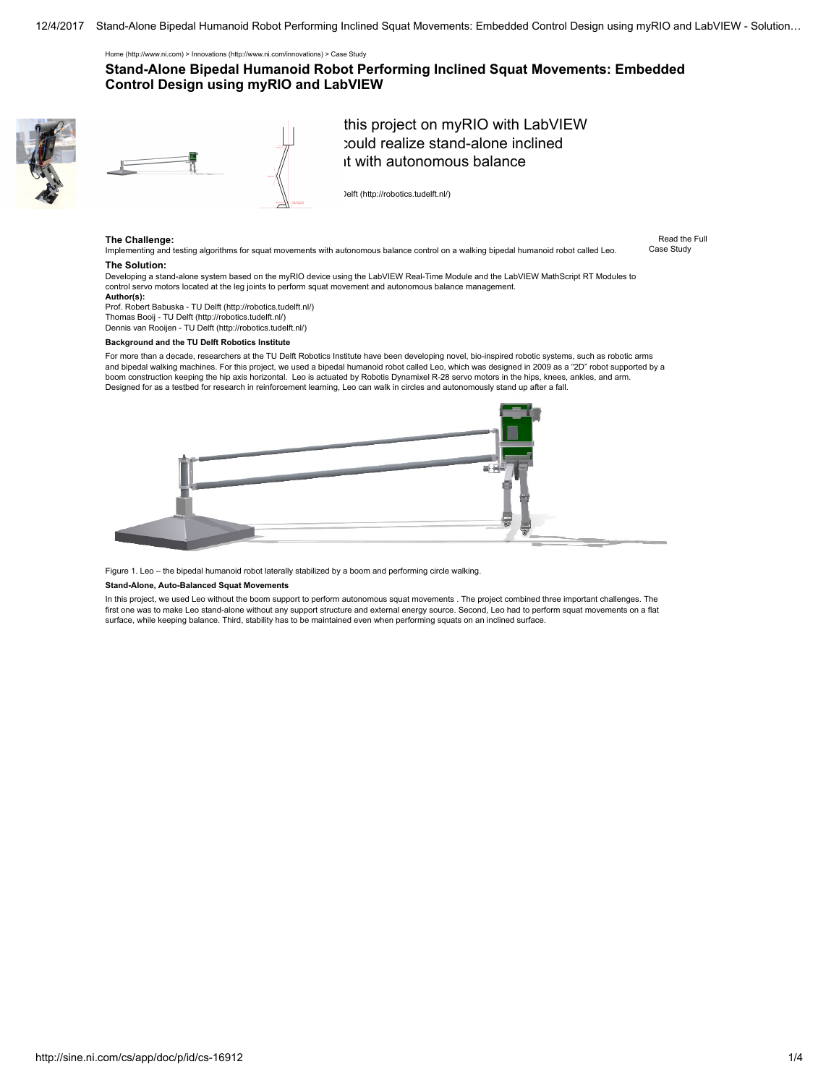[Home \(http://www.ni.com\)](http://www.ni.com/) > [Innovations \(http://www.ni.com/innovations\)](http://www.ni.com/innovations) > Case Study

# Stand-Alone Bipedal Humanoid Robot Performing Inclined Squat Movements: Embedded Control Design using myRIO and LabVIEW





this project on myRIO with LabVIEW could realize stand-alone inclined it with autonomous balance

) elft (http://robotics.tudelft.nl/)

## The Challenge:

Implementing and testing algorithms for squat movements with autonomous balance control on a walking bipedal humanoid robot called Leo.

Read the Full Case Study

### The Solution:

Developing a stand-alone system based on the myRIO device using the LabVIEW Real-Time Module and the LabVIEW MathScript RT Modules to control servo motors located at the leg joints to perform squat movement and autonomous balance management. Author(s):

Prof. Robert Babuska - [TU Delft \(http://robotics.tudelft.nl/\)](http://robotics.tudelft.nl/) Thomas Booij - [TU Delft \(http://robotics.tudelft.nl/\)](http://robotics.tudelft.nl/) Dennis van Rooijen - [TU Delft \(http://robotics.tudelft.nl/\)](http://robotics.tudelft.nl/)

#### Background and the TU Delft Robotics Institute

For more than a decade, researchers at the TU Delft Robotics Institute have been developing novel, bio-inspired robotic systems, such as robotic arms and bipedal walking machines. For this project, we used a bipedal humanoid robot called Leo, which was designed in 2009 as a "2D" robot supported by a boom construction keeping the hip axis horizontal. Leo is actuated by Robotis Dynamixel R-28 servo motors in the hips, knees, ankles, and arm. Designed for as a testbed for research in reinforcement learning, Leo can walk in circles and autonomously stand up after a fall.



Figure 1. Leo – the bipedal humanoid robot laterally stabilized by a boom and performing circle walking.

### Stand-Alone, Auto-Balanced Squat Movements

In this project, we used Leo without the boom support to perform autonomous squat movements . The project combined three important challenges. The first one was to make Leo stand-alone without any support structure and external energy source. Second, Leo had to perform squat movements on a flat surface, while keeping balance. Third, stability has to be maintained even when performing squats on an inclined surface.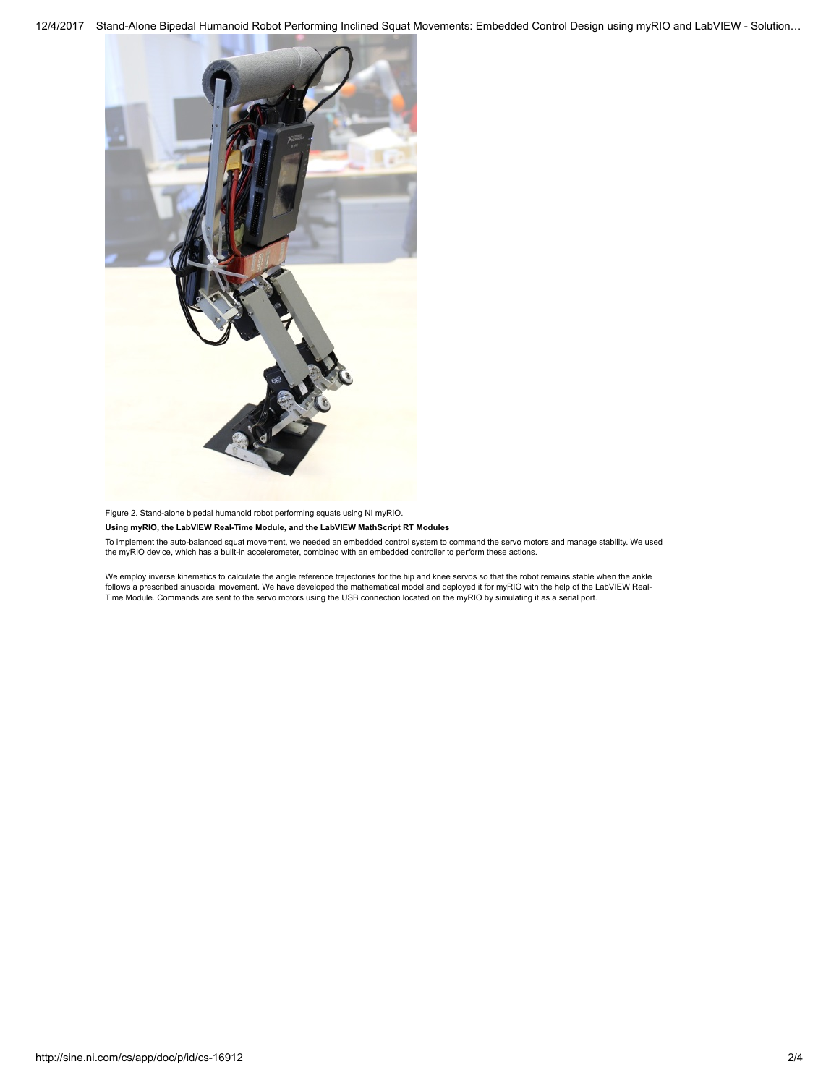

Figure 2. Stand-alone bipedal humanoid robot performing squats using NI myRIO.

### Using myRIO, the LabVIEW Real-Time Module, and the LabVIEW MathScript RT Modules

To implement the auto-balanced squat movement, we needed an embedded control system to command the servo motors and manage stability. We used the myRIO device, which has a built-in accelerometer, combined with an embedded controller to perform these actions.

We employ inverse kinematics to calculate the angle reference trajectories for the hip and knee servos so that the robot remains stable when the ankle follows a prescribed sinusoidal movement. We have developed the mathematical model and deployed it for myRIO with the help of the LabVIEW Real-<br>Time Module. Commands are sent to the servo motors using the USB connection lo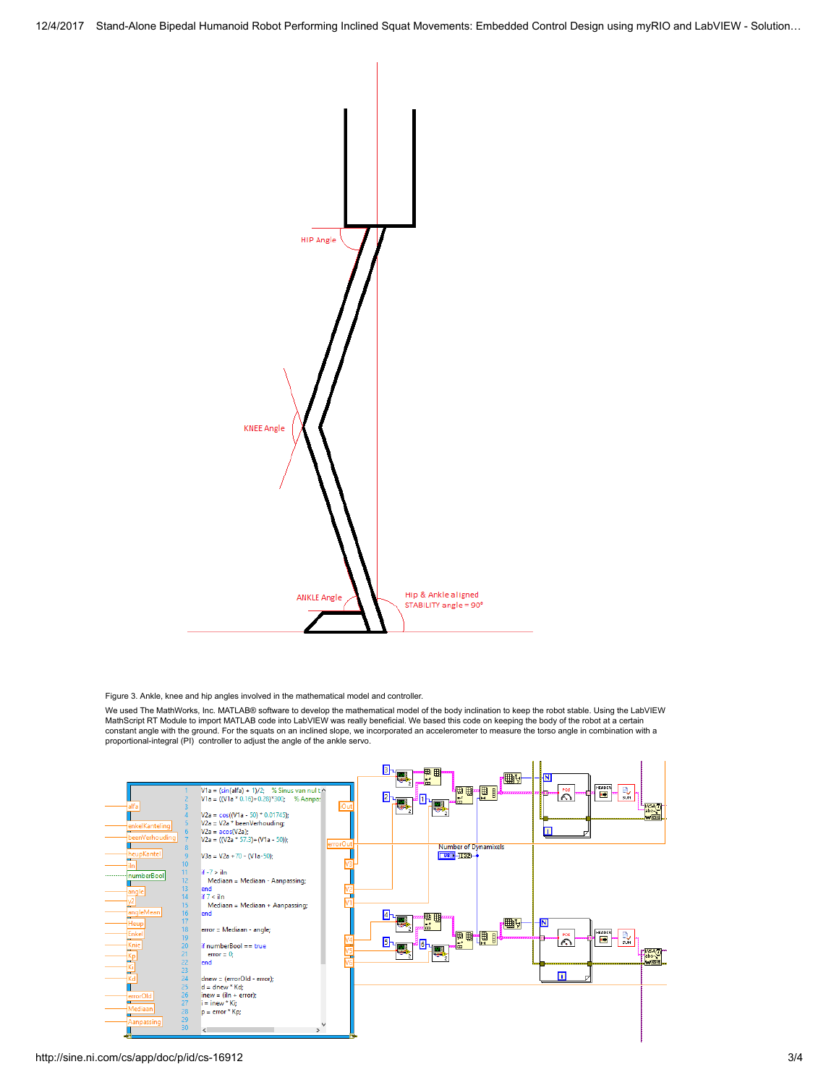

Figure 3. Ankle, knee and hip angles involved in the mathematical model and controller.

We used The MathWorks, Inc. MATLAB® software to develop the mathematical model of the body inclination to keep the robot stable. Using the LabVIEW MathScript RT Module to import MATLAB code into LabVIEW was really beneficial. We based this code on keeping the body of the robot at a certain constant angle with the ground. For the squats on an inclined slope, we incorporated an accelerometer to measure the torso angle in combination with a proportional-integral (PI) controller to adjust the angle of the ankle servo.